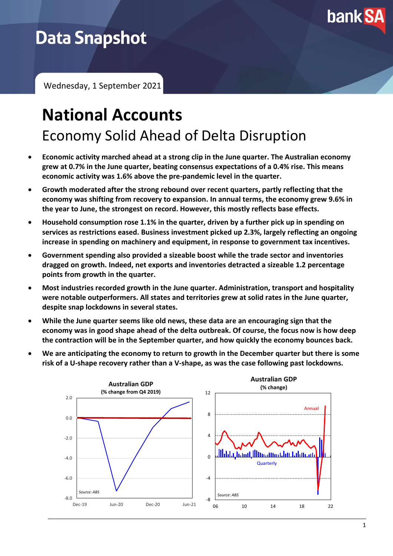

# **Data Snapshot**

Wednesday, 1 September 2021

## **National Accounts** Economy Solid Ahead of Delta Disruption

- **Economic activity marched ahead at a strong clip in the June quarter. The Australian economy grew at 0.7% in the June quarter, beating consensus expectations of a 0.4% rise. This means economic activity was 1.6% above the pre-pandemic level in the quarter.**
- **Growth moderated after the strong rebound over recent quarters, partly reflecting that the economy was shifting from recovery to expansion. In annual terms, the economy grew 9.6% in the year to June, the strongest on record. However, this mostly reflects base effects.**
- **Household consumption rose 1.1% in the quarter, driven by a further pick up in spending on services as restrictions eased. Business investment picked up 2.3%, largely reflecting an ongoing increase in spending on machinery and equipment, in response to government tax incentives.**
- **Government spending also provided a sizeable boost while the trade sector and inventories dragged on growth. Indeed, net exports and inventories detracted a sizeable 1.2 percentage points from growth in the quarter.**
- **Most industries recorded growth in the June quarter. Administration, transport and hospitality were notable outperformers. All states and territories grew at solid rates in the June quarter, despite snap lockdowns in several states.**
- **While the June quarter seems like old news, these data are an encouraging sign that the economy was in good shape ahead of the delta outbreak. Of course, the focus now is how deep the contraction will be in the September quarter, and how quickly the economy bounces back.**
- **We are anticipating the economy to return to growth in the December quarter but there is some risk of a U-shape recovery rather than a V-shape, as was the case following past lockdowns.**

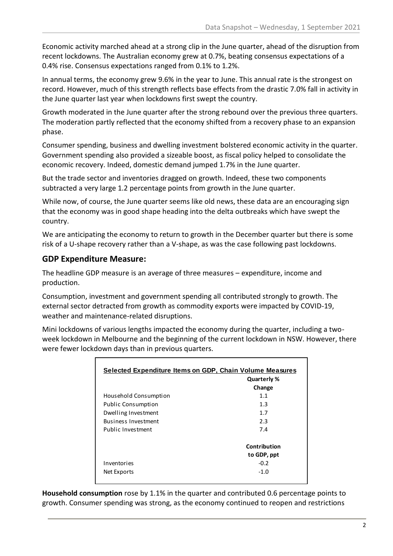Economic activity marched ahead at a strong clip in the June quarter, ahead of the disruption from recent lockdowns. The Australian economy grew at 0.7%, beating consensus expectations of a 0.4% rise. Consensus expectations ranged from 0.1% to 1.2%.

In annual terms, the economy grew 9.6% in the year to June. This annual rate is the strongest on record. However, much of this strength reflects base effects from the drastic 7.0% fall in activity in the June quarter last year when lockdowns first swept the country.

Growth moderated in the June quarter after the strong rebound over the previous three quarters. The moderation partly reflected that the economy shifted from a recovery phase to an expansion phase.

Consumer spending, business and dwelling investment bolstered economic activity in the quarter. Government spending also provided a sizeable boost, as fiscal policy helped to consolidate the economic recovery. Indeed, domestic demand jumped 1.7% in the June quarter.

But the trade sector and inventories dragged on growth. Indeed, these two components subtracted a very large 1.2 percentage points from growth in the June quarter.

While now, of course, the June quarter seems like old news, these data are an encouraging sign that the economy was in good shape heading into the delta outbreaks which have swept the country.

We are anticipating the economy to return to growth in the December quarter but there is some risk of a U-shape recovery rather than a V-shape, as was the case following past lockdowns.

#### **GDP Expenditure Measure:**

The headline GDP measure is an average of three measures – expenditure, income and production.

Consumption, investment and government spending all contributed strongly to growth. The external sector detracted from growth as commodity exports were impacted by COVID-19, weather and maintenance-related disruptions.

Mini lockdowns of various lengths impacted the economy during the quarter, including a twoweek lockdown in Melbourne and the beginning of the current lockdown in NSW. However, there were fewer lockdown days than in previous quarters.

| <u>Selected Expenditure Items on GDP, Chain Volume Measures</u> |              |  |
|-----------------------------------------------------------------|--------------|--|
|                                                                 | Quarterly %  |  |
|                                                                 | Change       |  |
| Household Consumption                                           | 1.1          |  |
| <b>Public Consumption</b>                                       | 1.3          |  |
| Dwelling Investment                                             | 1.7          |  |
| <b>Business Investment</b>                                      | 2.3          |  |
| Public Investment                                               | 7.4          |  |
|                                                                 | Contribution |  |
|                                                                 | to GDP, ppt  |  |
| Inventories                                                     | $-0.2$       |  |
| Net Exports                                                     | $-1.0$       |  |

**Household consumption** rose by 1.1% in the quarter and contributed 0.6 percentage points to growth. Consumer spending was strong, as the economy continued to reopen and restrictions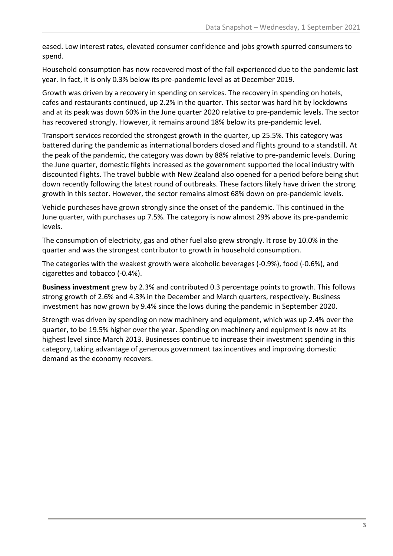eased. Low interest rates, elevated consumer confidence and jobs growth spurred consumers to spend.

Household consumption has now recovered most of the fall experienced due to the pandemic last year. In fact, it is only 0.3% below its pre-pandemic level as at December 2019.

Growth was driven by a recovery in spending on services. The recovery in spending on hotels, cafes and restaurants continued, up 2.2% in the quarter. This sector was hard hit by lockdowns and at its peak was down 60% in the June quarter 2020 relative to pre-pandemic levels. The sector has recovered strongly. However, it remains around 18% below its pre-pandemic level.

Transport services recorded the strongest growth in the quarter, up 25.5%. This category was battered during the pandemic as international borders closed and flights ground to a standstill. At the peak of the pandemic, the category was down by 88% relative to pre-pandemic levels. During the June quarter, domestic flights increased as the government supported the local industry with discounted flights. The travel bubble with New Zealand also opened for a period before being shut down recently following the latest round of outbreaks. These factors likely have driven the strong growth in this sector. However, the sector remains almost 68% down on pre-pandemic levels.

Vehicle purchases have grown strongly since the onset of the pandemic. This continued in the June quarter, with purchases up 7.5%. The category is now almost 29% above its pre-pandemic levels.

The consumption of electricity, gas and other fuel also grew strongly. It rose by 10.0% in the quarter and was the strongest contributor to growth in household consumption.

The categories with the weakest growth were alcoholic beverages (-0.9%), food (-0.6%), and cigarettes and tobacco (-0.4%).

**Business investment** grew by 2.3% and contributed 0.3 percentage points to growth. This follows strong growth of 2.6% and 4.3% in the December and March quarters, respectively. Business investment has now grown by 9.4% since the lows during the pandemic in September 2020.

Strength was driven by spending on new machinery and equipment, which was up 2.4% over the quarter, to be 19.5% higher over the year. Spending on machinery and equipment is now at its highest level since March 2013. Businesses continue to increase their investment spending in this category, taking advantage of generous government tax incentives and improving domestic demand as the economy recovers.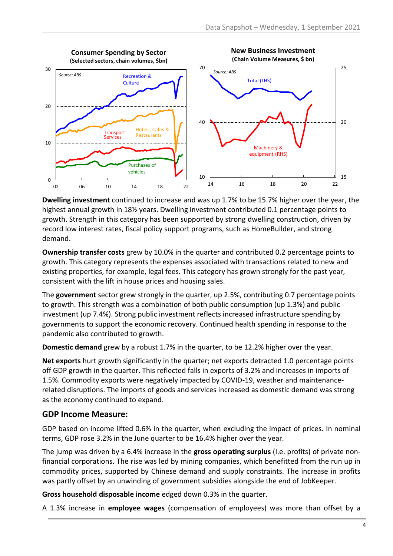

**Dwelling investment** continued to increase and was up 1.7% to be 15.7% higher over the year, the highest annual growth in 18½ years. Dwelling investment contributed 0.1 percentage points to growth. Strength in this category has been supported by strong dwelling construction, driven by record low interest rates, fiscal policy support programs, such as HomeBuilder, and strong demand.

**Ownership transfer costs** grew by 10.0% in the quarter and contributed 0.2 percentage points to growth. This category represents the expenses associated with transactions related to new and existing properties, for example, legal fees. This category has grown strongly for the past year, consistent with the lift in house prices and housing sales.

The **government** sector grew strongly in the quarter, up 2.5%, contributing 0.7 percentage points to growth. This strength was a combination of both public consumption (up 1.3%) and public investment (up 7.4%). Strong public investment reflects increased infrastructure spending by governments to support the economic recovery. Continued health spending in response to the pandemic also contributed to growth.

**Domestic demand** grew by a robust 1.7% in the quarter, to be 12.2% higher over the year.

**Net exports** hurt growth significantly in the quarter; net exports detracted 1.0 percentage points off GDP growth in the quarter. This reflected falls in exports of 3.2% and increases in imports of 1.5%. Commodity exports were negatively impacted by COVID-19, weather and maintenancerelated disruptions. The imports of goods and services increased as domestic demand was strong as the economy continued to expand.

#### **GDP Income Measure:**

GDP based on income lifted 0.6% in the quarter, when excluding the impact of prices. In nominal terms, GDP rose 3.2% in the June quarter to be 16.4% higher over the year.

The jump was driven by a 6.4% increase in the **gross operating surplus** (I.e. profits) of private nonfinancial corporations. The rise was led by mining companies, which benefitted from the run up in commodity prices, supported by Chinese demand and supply constraints. The increase in profits was partly offset by an unwinding of government subsidies alongside the end of JobKeeper.

**Gross household disposable income** edged down 0.3% in the quarter.

A 1.3% increase in **employee wages** (compensation of employees) was more than offset by a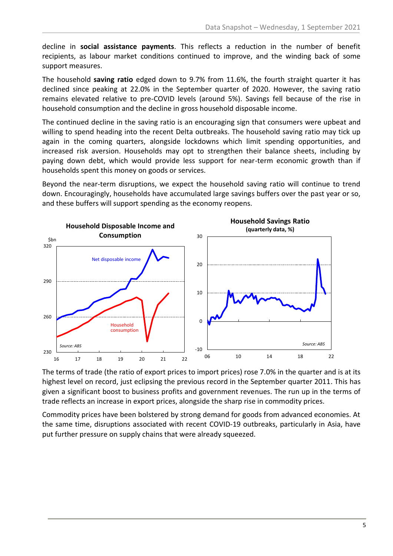decline in **social assistance payments**. This reflects a reduction in the number of benefit recipients, as labour market conditions continued to improve, and the winding back of some support measures.

The household **saving ratio** edged down to 9.7% from 11.6%, the fourth straight quarter it has declined since peaking at 22.0% in the September quarter of 2020. However, the saving ratio remains elevated relative to pre-COVID levels (around 5%). Savings fell because of the rise in household consumption and the decline in gross household disposable income.

The continued decline in the saving ratio is an encouraging sign that consumers were upbeat and willing to spend heading into the recent Delta outbreaks. The household saving ratio may tick up again in the coming quarters, alongside lockdowns which limit spending opportunities, and increased risk aversion. Households may opt to strengthen their balance sheets, including by paying down debt, which would provide less support for near-term economic growth than if households spent this money on goods or services.

Beyond the near-term disruptions, we expect the household saving ratio will continue to trend down. Encouragingly, households have accumulated large savings buffers over the past year or so, and these buffers will support spending as the economy reopens.



The terms of trade (the ratio of export prices to import prices) rose 7.0% in the quarter and is at its highest level on record, just eclipsing the previous record in the September quarter 2011. This has given a significant boost to business profits and government revenues. The run up in the terms of trade reflects an increase in export prices, alongside the sharp rise in commodity prices.

Commodity prices have been bolstered by strong demand for goods from advanced economies. At the same time, disruptions associated with recent COVID-19 outbreaks, particularly in Asia, have put further pressure on supply chains that were already squeezed.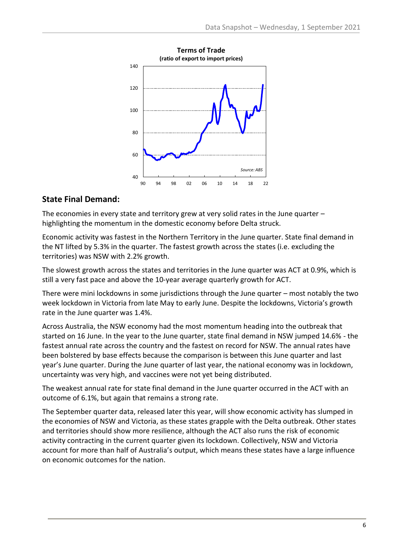

#### **State Final Demand:**

The economies in every state and territory grew at very solid rates in the June quarter – highlighting the momentum in the domestic economy before Delta struck.

Economic activity was fastest in the Northern Territory in the June quarter. State final demand in the NT lifted by 5.3% in the quarter. The fastest growth across the states (i.e. excluding the territories) was NSW with 2.2% growth.

The slowest growth across the states and territories in the June quarter was ACT at 0.9%, which is still a very fast pace and above the 10-year average quarterly growth for ACT.

There were mini lockdowns in some jurisdictions through the June quarter – most notably the two week lockdown in Victoria from late May to early June. Despite the lockdowns, Victoria's growth rate in the June quarter was 1.4%.

Across Australia, the NSW economy had the most momentum heading into the outbreak that started on 16 June. In the year to the June quarter, state final demand in NSW jumped 14.6% - the fastest annual rate across the country and the fastest on record for NSW. The annual rates have been bolstered by base effects because the comparison is between this June quarter and last year's June quarter. During the June quarter of last year, the national economy was in lockdown, uncertainty was very high, and vaccines were not yet being distributed.

The weakest annual rate for state final demand in the June quarter occurred in the ACT with an outcome of 6.1%, but again that remains a strong rate.

The September quarter data, released later this year, will show economic activity has slumped in the economies of NSW and Victoria, as these states grapple with the Delta outbreak. Other states and territories should show more resilience, although the ACT also runs the risk of economic activity contracting in the current quarter given its lockdown. Collectively, NSW and Victoria account for more than half of Australia's output, which means these states have a large influence on economic outcomes for the nation.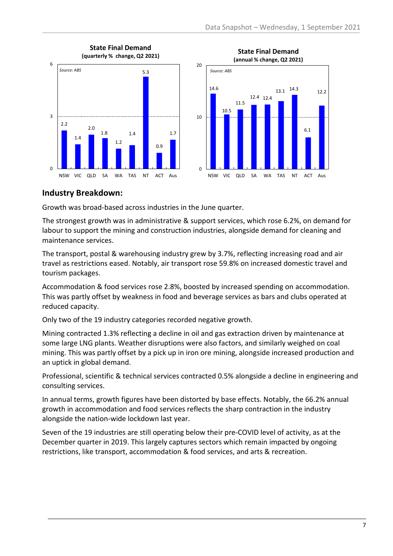



#### **Industry Breakdown:**

Growth was broad-based across industries in the June quarter.

The strongest growth was in administrative & support services, which rose 6.2%, on demand for labour to support the mining and construction industries, alongside demand for cleaning and maintenance services.

The transport, postal & warehousing industry grew by 3.7%, reflecting increasing road and air travel as restrictions eased. Notably, air transport rose 59.8% on increased domestic travel and tourism packages.

Accommodation & food services rose 2.8%, boosted by increased spending on accommodation. This was partly offset by weakness in food and beverage services as bars and clubs operated at reduced capacity.

Only two of the 19 industry categories recorded negative growth.

Mining contracted 1.3% reflecting a decline in oil and gas extraction driven by maintenance at some large LNG plants. Weather disruptions were also factors, and similarly weighed on coal mining. This was partly offset by a pick up in iron ore mining, alongside increased production and an uptick in global demand.

Professional, scientific & technical services contracted 0.5% alongside a decline in engineering and consulting services.

In annual terms, growth figures have been distorted by base effects. Notably, the 66.2% annual growth in accommodation and food services reflects the sharp contraction in the industry alongside the nation-wide lockdown last year.

Seven of the 19 industries are still operating below their pre-COVID level of activity, as at the December quarter in 2019. This largely captures sectors which remain impacted by ongoing restrictions, like transport, accommodation & food services, and arts & recreation.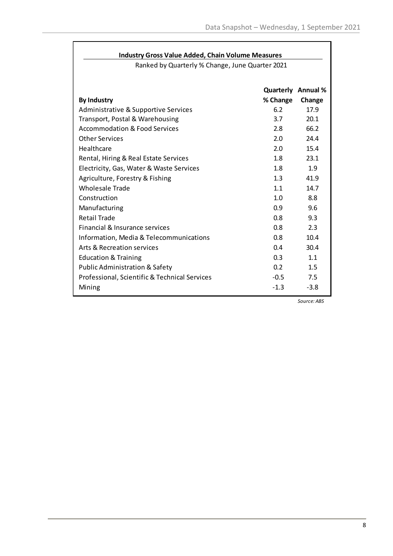#### **Industry Gross Value Added, Chain Volume Measures**

Ranked by Quarterly % Change, June Quarter 2021

| <b>By Industry</b>                            | % Change         | <b>Quarterly Annual %</b><br>Change |
|-----------------------------------------------|------------------|-------------------------------------|
| Administrative & Supportive Services          | 6.2              | 17.9                                |
| Transport, Postal & Warehousing               | 3.7              | 20.1                                |
| Accommodation & Food Services                 | 2.8              | 66.2                                |
| <b>Other Services</b>                         | 2.0              | 24.4                                |
| Healthcare                                    | 2.0              | 15.4                                |
| Rental, Hiring & Real Estate Services         | 1.8              | 23.1                                |
| Electricity, Gas, Water & Waste Services      | 1.8              | 1.9                                 |
| Agriculture, Forestry & Fishing               | 1.3              | 41.9                                |
| Wholesale Trade                               | 1.1              | 147                                 |
| Construction                                  | 1.0              | 8.8                                 |
| Manufacturing                                 | 0.9              | 9.6                                 |
| <b>Retail Trade</b>                           | 0.8              | 9.3                                 |
| Financial & Insurance services                | $0.8^{\circ}$    | 2.3                                 |
| Information, Media & Telecommunications       | $0.8^{\circ}$    | 10.4                                |
| Arts & Recreation services                    | 0.4              | 30.4                                |
| <b>Education &amp; Training</b>               | 0.3              | 1.1                                 |
| Public Administration & Safety                | 0.2 <sub>2</sub> | 1.5                                 |
| Professional, Scientific & Technical Services | $-0.5$           | 7.5                                 |
| Mining                                        | $-1.3$           | $-3.8$                              |

*Source: ABS*